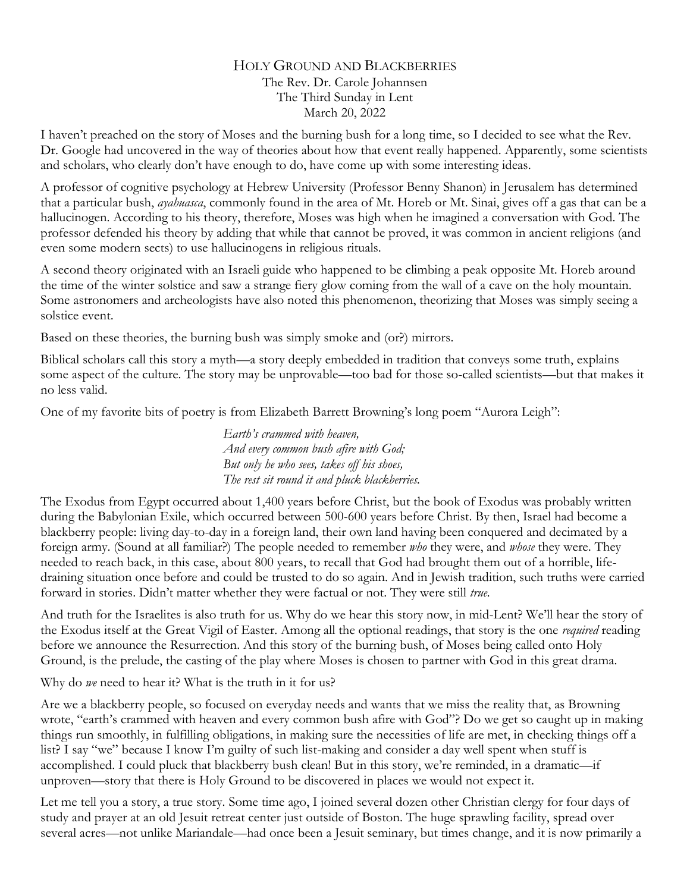## HOLY GROUND AND BLACKBERRIES The Rev. Dr. Carole Johannsen The Third Sunday in Lent March 20, 2022

I haven't preached on the story of Moses and the burning bush for a long time, so I decided to see what the Rev. Dr. Google had uncovered in the way of theories about how that event really happened. Apparently, some scientists and scholars, who clearly don't have enough to do, have come up with some interesting ideas.

A professor of cognitive psychology at Hebrew University (Professor Benny Shanon) in Jerusalem has determined that a particular bush, *ayahuasca*, commonly found in the area of Mt. Horeb or Mt. Sinai, gives off a gas that can be a hallucinogen. According to his theory, therefore, Moses was high when he imagined a conversation with God. The professor defended his theory by adding that while that cannot be proved, it was common in ancient religions (and even some modern sects) to use hallucinogens in religious rituals.

A second theory originated with an Israeli guide who happened to be climbing a peak opposite Mt. Horeb around the time of the winter solstice and saw a strange fiery glow coming from the wall of a cave on the holy mountain. Some astronomers and archeologists have also noted this phenomenon, theorizing that Moses was simply seeing a solstice event.

Based on these theories, the burning bush was simply smoke and (or?) mirrors.

Biblical scholars call this story a myth—a story deeply embedded in tradition that conveys some truth, explains some aspect of the culture. The story may be unprovable—too bad for those so-called scientists—but that makes it no less valid.

One of my favorite bits of poetry is from Elizabeth Barrett Browning's long poem "Aurora Leigh":

*Earth's crammed with heaven, And every common bush afire with God; But only he who sees, takes off his shoes, The rest sit round it and pluck blackberries.* 

The Exodus from Egypt occurred about 1,400 years before Christ, but the book of Exodus was probably written during the Babylonian Exile, which occurred between 500-600 years before Christ. By then, Israel had become a blackberry people: living day-to-day in a foreign land, their own land having been conquered and decimated by a foreign army. (Sound at all familiar?) The people needed to remember *who* they were, and *whose* they were. They needed to reach back, in this case, about 800 years, to recall that God had brought them out of a horrible, lifedraining situation once before and could be trusted to do so again. And in Jewish tradition, such truths were carried forward in stories. Didn't matter whether they were factual or not. They were still *true.*

And truth for the Israelites is also truth for us. Why do we hear this story now, in mid-Lent? We'll hear the story of the Exodus itself at the Great Vigil of Easter. Among all the optional readings, that story is the one *required* reading before we announce the Resurrection. And this story of the burning bush, of Moses being called onto Holy Ground, is the prelude, the casting of the play where Moses is chosen to partner with God in this great drama.

Why do *we* need to hear it? What is the truth in it for us?

Are we a blackberry people, so focused on everyday needs and wants that we miss the reality that, as Browning wrote, "earth's crammed with heaven and every common bush afire with God"? Do we get so caught up in making things run smoothly, in fulfilling obligations, in making sure the necessities of life are met, in checking things off a list? I say "we" because I know I'm guilty of such list-making and consider a day well spent when stuff is accomplished. I could pluck that blackberry bush clean! But in this story, we're reminded, in a dramatic—if unproven—story that there is Holy Ground to be discovered in places we would not expect it.

Let me tell you a story, a true story. Some time ago, I joined several dozen other Christian clergy for four days of study and prayer at an old Jesuit retreat center just outside of Boston. The huge sprawling facility, spread over several acres—not unlike Mariandale—had once been a Jesuit seminary, but times change, and it is now primarily a